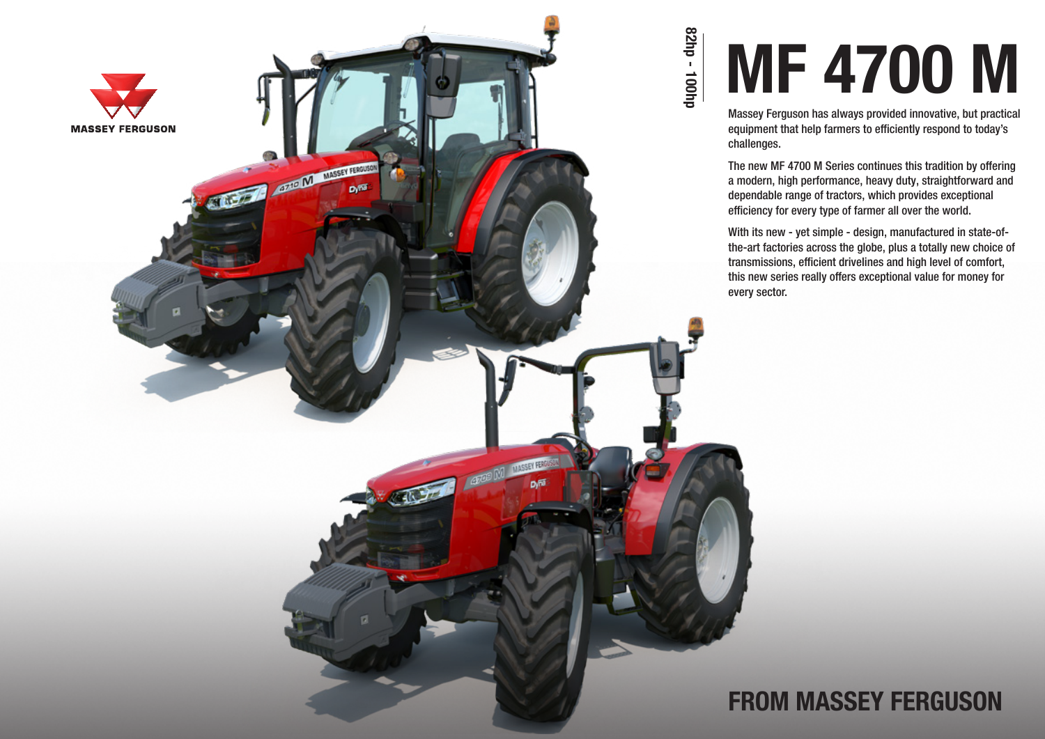

# MF 4700 M

Massey Ferguson has always provided innovative, but practical equipment that help farmers to efficiently respond to today's challenges.

The new MF 4700 M Series continues this tradition by offering a modern, high performance, heavy duty, straightforward and dependable range of tractors, which provides exceptional efficiency for every type of farmer all over the world.

With its new - yet simple - design, manufactured in state-ofthe-art factories across the globe, plus a totally new choice of transmissions, efficient drivelines and high level of comfort, this new series really offers exceptional value for money for every sector.

### FROM MASSEY FERGUSON